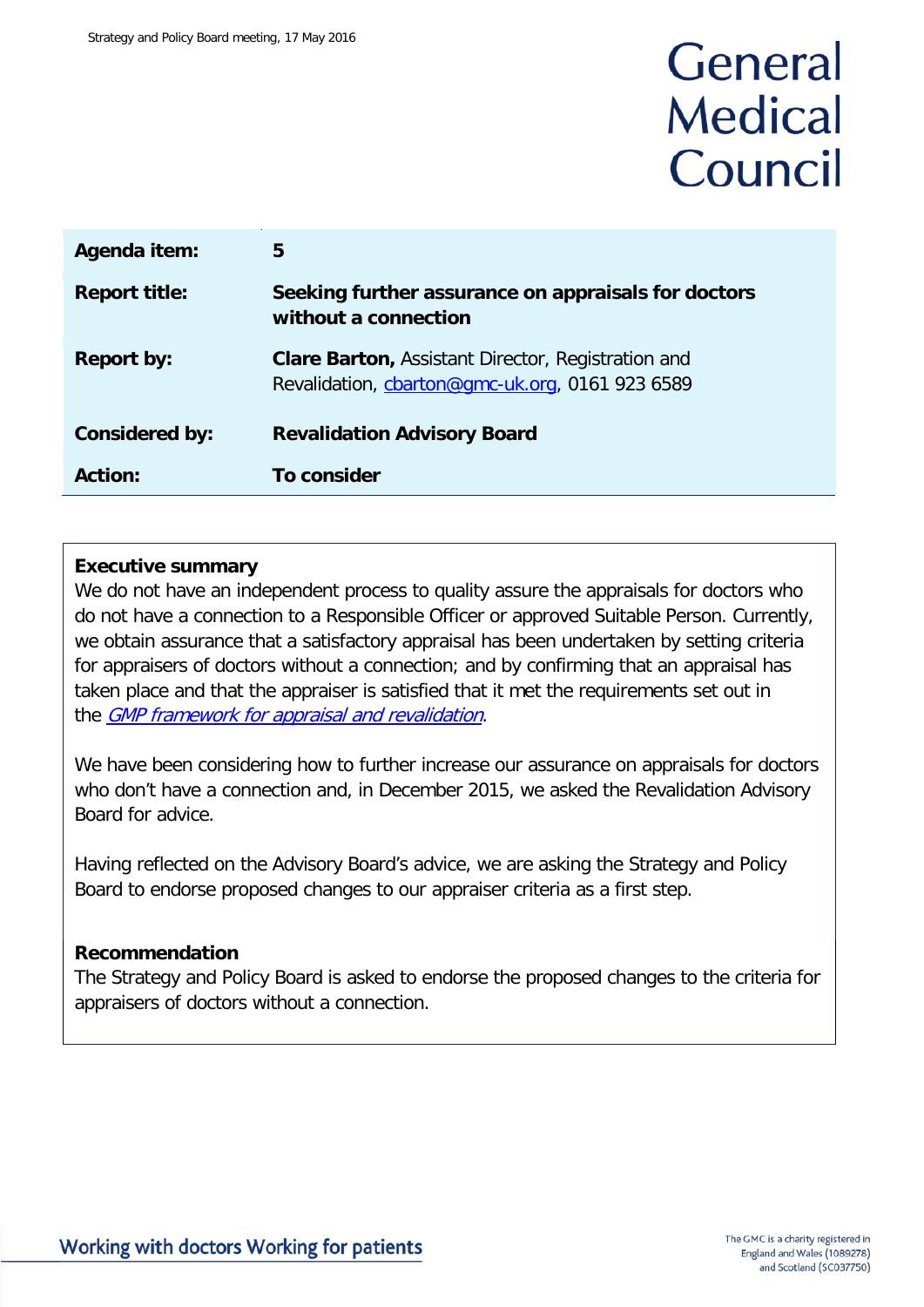## General **Medical** Council

| Agenda item:          | 5                                                                                                            |
|-----------------------|--------------------------------------------------------------------------------------------------------------|
| <b>Report title:</b>  | Seeking further assurance on appraisals for doctors<br>without a connection                                  |
| <b>Report by:</b>     | <b>Clare Barton, Assistant Director, Registration and</b><br>Revalidation, charton@gmc-uk.org, 0161 923 6589 |
| <b>Considered by:</b> | <b>Revalidation Advisory Board</b>                                                                           |
| Action:               | To consider                                                                                                  |

#### **Executive summary**

We do not have an independent process to quality assure the appraisals for doctors who do not have a connection to a Responsible Officer or approved Suitable Person. Currently, we obtain assurance that a satisfactory appraisal has been undertaken by setting criteria for appraisers of doctors without a connection; and by confirming that an appraisal has taken place and that the appraiser is satisfied that it met the requirements set out in the **GMP** [framework for appraisal and revalidation](http://www.gmc-uk.org/doctors/revalidation/revalidation_gmp_framework.asp).

We have been considering how to further increase our assurance on appraisals for doctors who don't have a connection and, in December 2015, we asked the Revalidation Advisory Board for advice.

Having reflected on the Advisory Board's advice, we are asking the Strategy and Policy Board to endorse proposed changes to our appraiser criteria as a first step.

#### **Recommendation**

The Strategy and Policy Board is asked to endorse the proposed changes to the criteria for appraisers of doctors without a connection.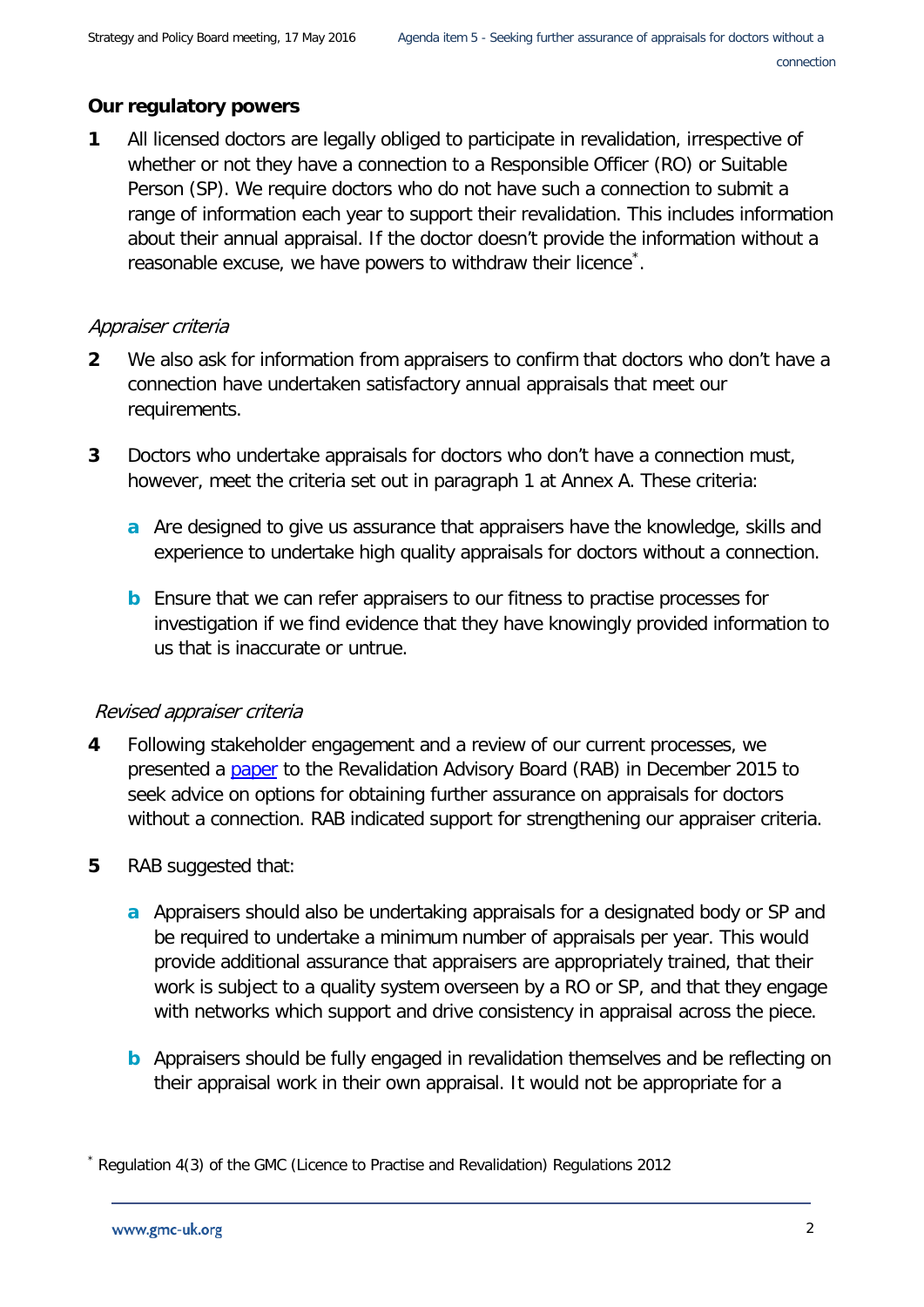#### **Our regulatory powers**

**1** All licensed doctors are legally obliged to participate in revalidation, irrespective of whether or not they have a connection to a Responsible Officer (RO) or Suitable Person (SP). We require doctors who do not have such a connection to submit a range of information each year to support their revalidation. This includes information about their annual appraisal. If the doctor doesn't provide the information without a reasonable excuse, we have powers to withdraw their licence<sup>[\\*](#page-1-0)</sup>.

#### Appraiser criteria

- **2** We also ask for information from appraisers to confirm that doctors who don't have a connection have undertaken satisfactory annual appraisals that meet our requirements.
- **3** Doctors who undertake appraisals for doctors who don't have a connection must, however, meet the criteria set out in paragraph 1 at Annex A. These criteria:
	- **a** Are designed to give us assurance that appraisers have the knowledge, skills and experience to undertake high quality appraisals for doctors without a connection.
	- **b** Ensure that we can refer appraisers to our fitness to practise processes for investigation if we find evidence that they have knowingly provided information to us that is inaccurate or untrue.

#### Revised appraiser criteria

- **4** Following stakeholder engagement and a review of our current processes, we presented a [paper](http://www.gmc-uk.org/Item_5___Assurance_on_appraisals_for_doctors_without_a_connection.pdf_63966293.pdf) to the Revalidation Advisory Board (RAB) in December 2015 to seek advice on options for obtaining further assurance on appraisals for doctors without a connection. RAB indicated support for strengthening our appraiser criteria.
- **5** RAB suggested that:
	- **a** Appraisers should also be undertaking appraisals for a designated body or SP and be required to undertake a minimum number of appraisals per year. This would provide additional assurance that appraisers are appropriately trained, that their work is subject to a quality system overseen by a RO or SP, and that they engage with networks which support and drive consistency in appraisal across the piece.
	- **b** Appraisers should be fully engaged in revalidation themselves and be reflecting on their appraisal work in their own appraisal. It would not be appropriate for a

<span id="page-1-0"></span>Regulation 4(3) of the GMC (Licence to Practise and Revalidation) Regulations 2012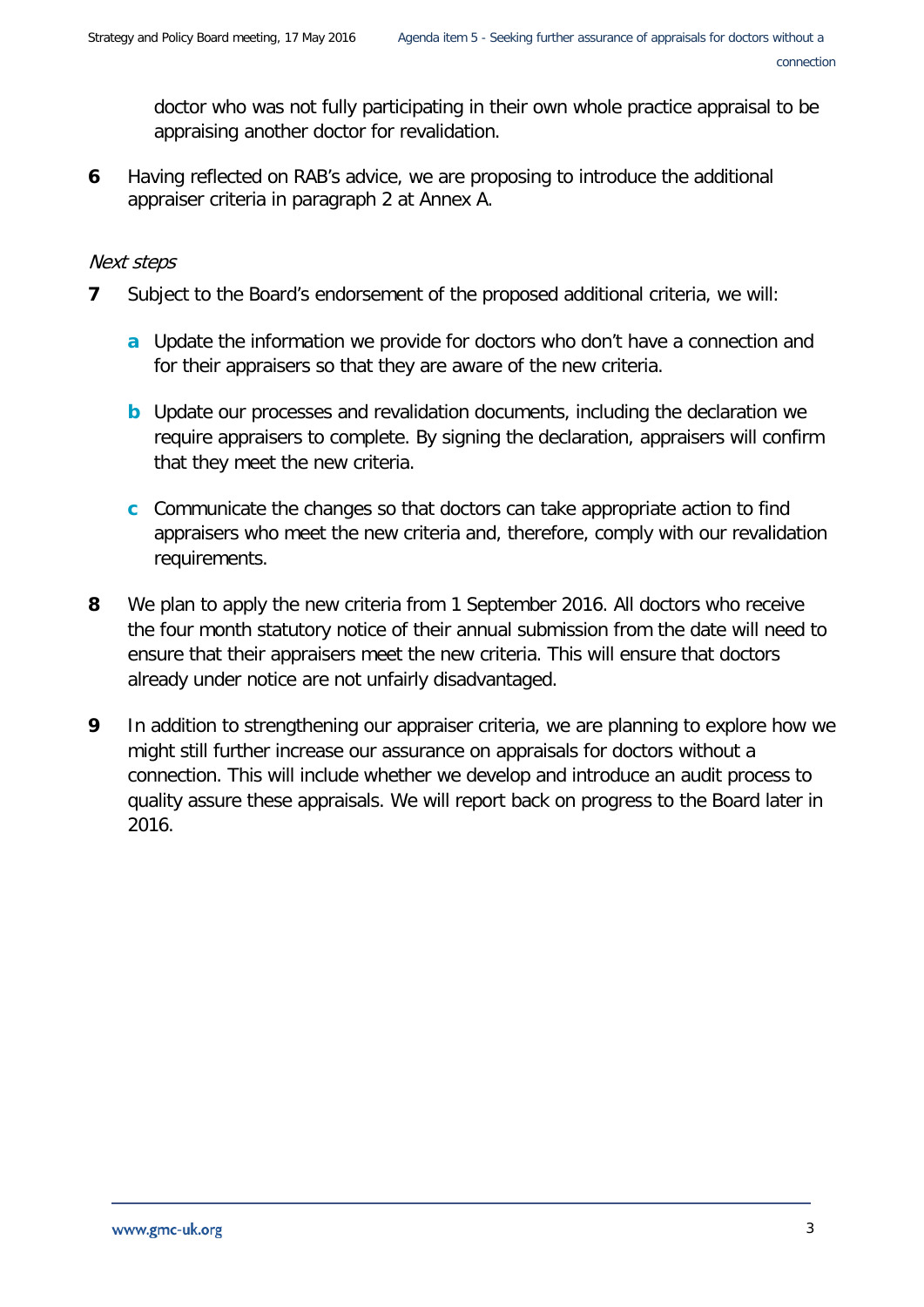doctor who was not fully participating in their own whole practice appraisal to be appraising another doctor for revalidation.

**6** Having reflected on RAB's advice, we are proposing to introduce the additional appraiser criteria in paragraph 2 at Annex A.

#### Next steps

- **7** Subject to the Board's endorsement of the proposed additional criteria, we will:
	- **a** Update the information we provide for doctors who don't have a connection and for their appraisers so that they are aware of the new criteria.
	- **b** Update our processes and revalidation documents, including the declaration we require appraisers to complete. By signing the declaration, appraisers will confirm that they meet the new criteria.
	- **c** Communicate the changes so that doctors can take appropriate action to find appraisers who meet the new criteria and, therefore, comply with our revalidation requirements.
- **8** We plan to apply the new criteria from 1 September 2016. All doctors who receive the four month statutory notice of their annual submission from the date will need to ensure that their appraisers meet the new criteria. This will ensure that doctors already under notice are not unfairly disadvantaged.
- **9** In addition to strengthening our appraiser criteria, we are planning to explore how we might still further increase our assurance on appraisals for doctors without a connection. This will include whether we develop and introduce an audit process to quality assure these appraisals. We will report back on progress to the Board later in 2016.